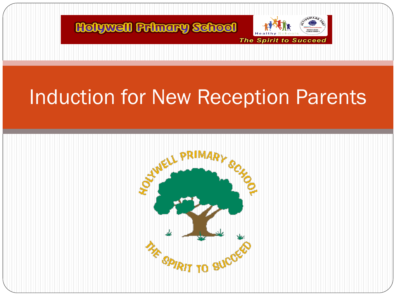

## Induction for New Reception Parents

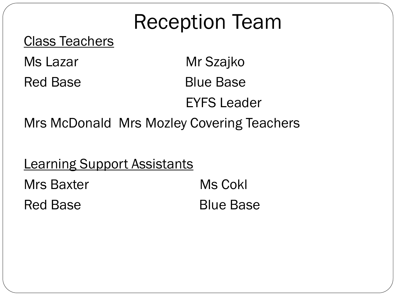# Reception Team

#### Class Teachers

Ms Lazar **Mr Szajko** Red Base Blue Base

EYFS Leader

Mrs McDonald Mrs Mozley Covering Teachers

**Learning Support Assistants** 

Mrs Baxter Ms Cokl Red Base **Blue Base**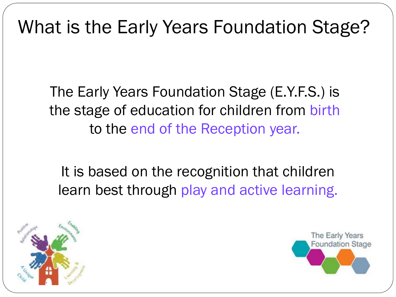#### What is the Early Years Foundation Stage?

The Early Years Foundation Stage (E.Y.F.S.) is the stage of education for children from birth to the end of the Reception year.

It is based on the recognition that children learn best through play and active learning.



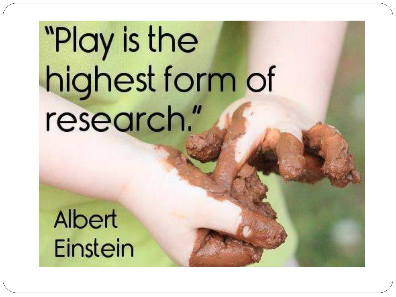# "Play is the highest form of research."

Albert **Einstein**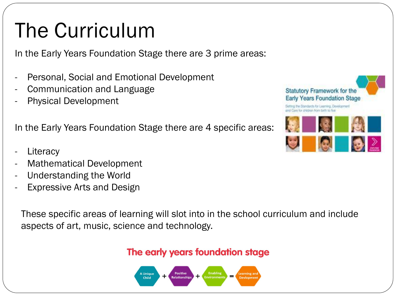# The Curriculum

In the Early Years Foundation Stage there are 3 prime areas:

- Personal, Social and Emotional Development
- Communication and Language
- Physical Development

In the Early Years Foundation Stage there are 4 specific areas:

- **Literacy**
- Mathematical Development
- Understanding the World
- Expressive Arts and Design

These specific areas of learning will slot into in the school curriculum and include aspects of art, music, science and technology.

#### The early years foundation stage



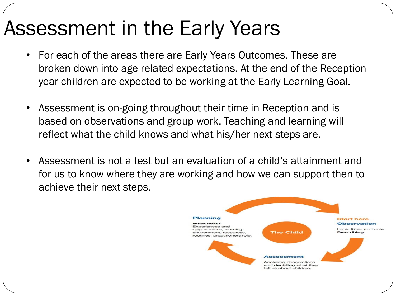## Assessment in the Early Years

- For each of the areas there are Early Years Outcomes. These are broken down into age-related expectations. At the end of the Reception year children are expected to be working at the Early Learning Goal.
- Assessment is on-going throughout their time in Reception and is based on observations and group work. Teaching and learning will reflect what the child knows and what his/her next steps are.
- Assessment is not a test but an evaluation of a child's attainment and for us to know where they are working and how we can support then to achieve their next steps.

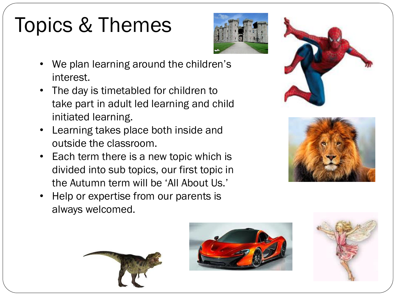# Topics & Themes



- We plan learning around the children's interest.
- The day is timetabled for children to take part in adult led learning and child initiated learning.
- Learning takes place both inside and outside the classroom.
- Each term there is a new topic which is divided into sub topics, our first topic in the Autumn term will be 'All About Us.'
- Help or expertise from our parents is always welcomed.









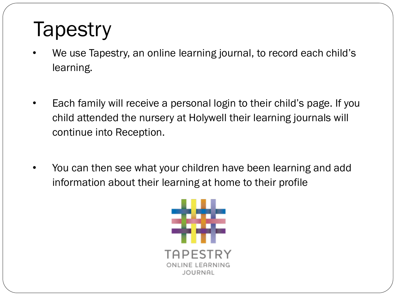## **Tapestry**

- We use Tapestry, an online learning journal, to record each child's learning.
- Each family will receive a personal login to their child's page. If you child attended the nursery at Holywell their learning journals will continue into Reception.
- You can then see what your children have been learning and add information about their learning at home to their profile

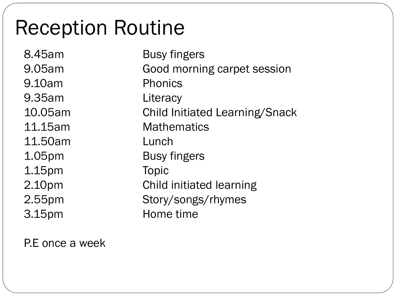#### Reception Routine

8.45am Busy fingers 9.05am Good morning carpet session 9.10am Phonics 9.35am Literacy 10.05am Child Initiated Learning/Snack 11.15am Mathematics 11.50am Lunch 1.05pm Busy fingers 1.15pm Topic 2.10pm Child initiated learning 2.55pm Story/songs/rhymes 3.15pm Home time

P.E once a week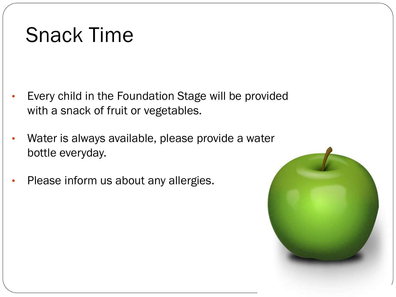### Snack Time

- Every child in the Foundation Stage will be provided with a snack of fruit or vegetables.
- Water is always available, please provide a water bottle everyday.
- Please inform us about any allergies.

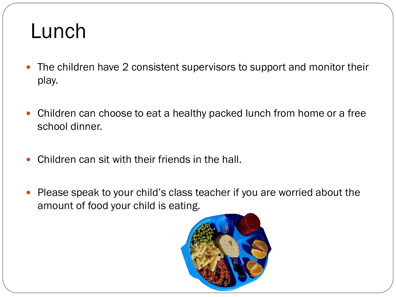#### Lunch

- The children have 2 consistent supervisors to support and monitor their play.
- Children can choose to eat a healthy packed lunch from home or a free school dinner.
- Children can sit with their friends in the hall.
- Please speak to your child's class teacher if you are worried about the amount of food your child is eating.

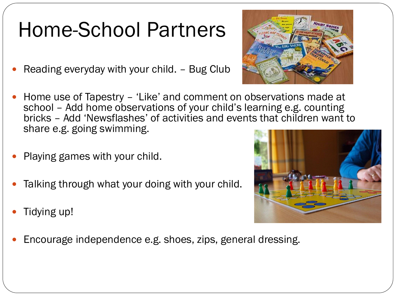## Home-School Partners

- Reading everyday with your child. Bug Club
- Home use of Tapestry 'Like' and comment on observations made at school - Add home observations of your child's learning e.g. counting bricks – Add 'Newsflashes' of activities and events that children want to share e.g. going swimming.
- Playing games with your child.
- Talking through what your doing with your child.
- Tidying up!
- Encourage independence e.g. shoes, zips, general dressing.



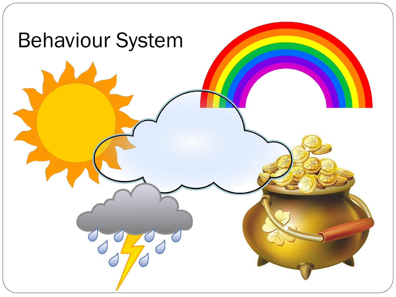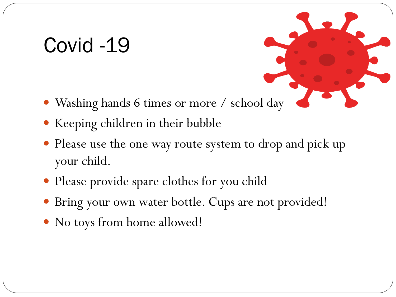#### Covid -19

- Washing hands 6 times or more / school day
- Keeping children in their bubble
- Please use the one way route system to drop and pick up your child.
- Please provide spare clothes for you child
- Bring your own water bottle. Cups are not provided!
- No toys from home allowed!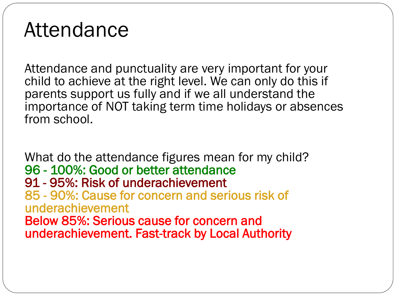#### Attendance

Attendance and punctuality are very important for your child to achieve at the right level. We can only do this if parents support us fully and if we all understand the importance of NOT taking term time holidays or absences from school.

What do the attendance figures mean for my child? 96 - 100%: Good or better attendance 91 - 95%: Risk of underachievement 85 - 90%: Cause for concern and serious risk of underachievement Below 85%: Serious cause for concern and underachievement. Fast-track by Local Authority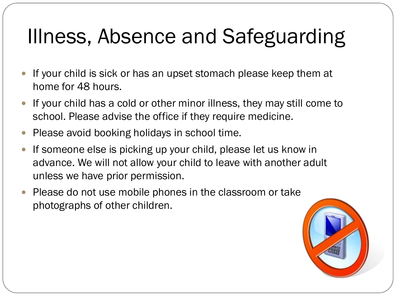# Illness, Absence and Safeguarding

- If your child is sick or has an upset stomach please keep them at home for 48 hours.
- If your child has a cold or other minor illness, they may still come to school. Please advise the office if they require medicine.
- Please avoid booking holidays in school time.
- If someone else is picking up your child, please let us know in advance. We will not allow your child to leave with another adult unless we have prior permission.
- Please do not use mobile phones in the classroom or take photographs of other children.

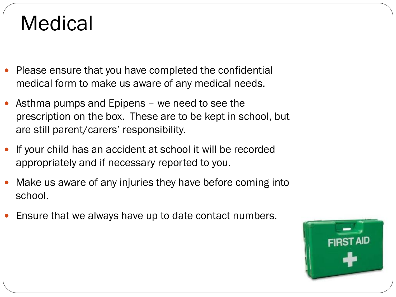#### Medical

- Please ensure that you have completed the confidential medical form to make us aware of any medical needs.
- Asthma pumps and Epipens we need to see the prescription on the box. These are to be kept in school, but are still parent/carers' responsibility.
- If your child has an accident at school it will be recorded appropriately and if necessary reported to you.
- Make us aware of any injuries they have before coming into school.
- Ensure that we always have up to date contact numbers.

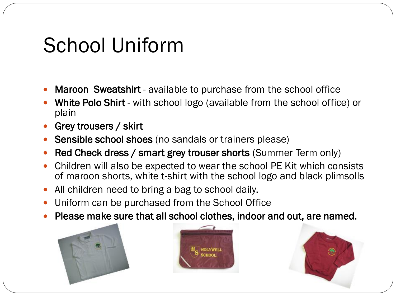#### School Uniform

- Maroon Sweatshirt available to purchase from the school office
- White Polo Shirt with school logo (available from the school office) or plain
- Grey trousers / skirt
- Sensible school shoes (no sandals or trainers please)
- Red Check dress / smart grey trouser shorts (Summer Term only)
- Children will also be expected to wear the school PE Kit which consists of maroon shorts, white t-shirt with the school logo and black plimsolls
- All children need to bring a bag to school daily.
- Uniform can be purchased from the School Office
- Please make sure that all school clothes, indoor and out, are named.